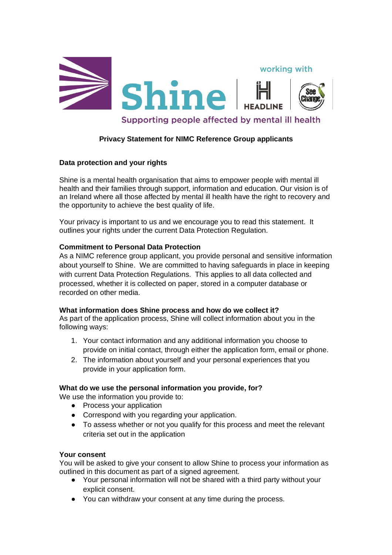

# **Privacy Statement for NIMC Reference Group applicants**

# **Data protection and your rights**

Shine is a mental health organisation that aims to empower people with mental ill health and their families through support, information and education. Our vision is of an Ireland where all those affected by mental ill health have the right to recovery and the opportunity to achieve the best quality of life.

Your privacy is important to us and we encourage you to read this statement. It outlines your rights under the current Data Protection Regulation.

# **Commitment to Personal Data Protection**

As a NIMC reference group applicant, you provide personal and sensitive information about yourself to Shine. We are committed to having safeguards in place in keeping with current Data Protection Regulations. This applies to all data collected and processed, whether it is collected on paper, stored in a computer database or recorded on other media.

#### **What information does Shine process and how do we collect it?**

As part of the application process, Shine will collect information about you in the following ways:

- 1. Your contact information and any additional information you choose to provide on initial contact, through either the application form, email or phone.
- 2. The information about yourself and your personal experiences that you provide in your application form.

#### **What do we use the personal information you provide, for?**

We use the information you provide to:

- Process your application
- Correspond with you regarding your application.
- To assess whether or not you qualify for this process and meet the relevant criteria set out in the application

### **Your consent**

You will be asked to give your consent to allow Shine to process your information as outlined in this document as part of a signed agreement.

- Your personal information will not be shared with a third party without your explicit consent.
- You can withdraw your consent at any time during the process.